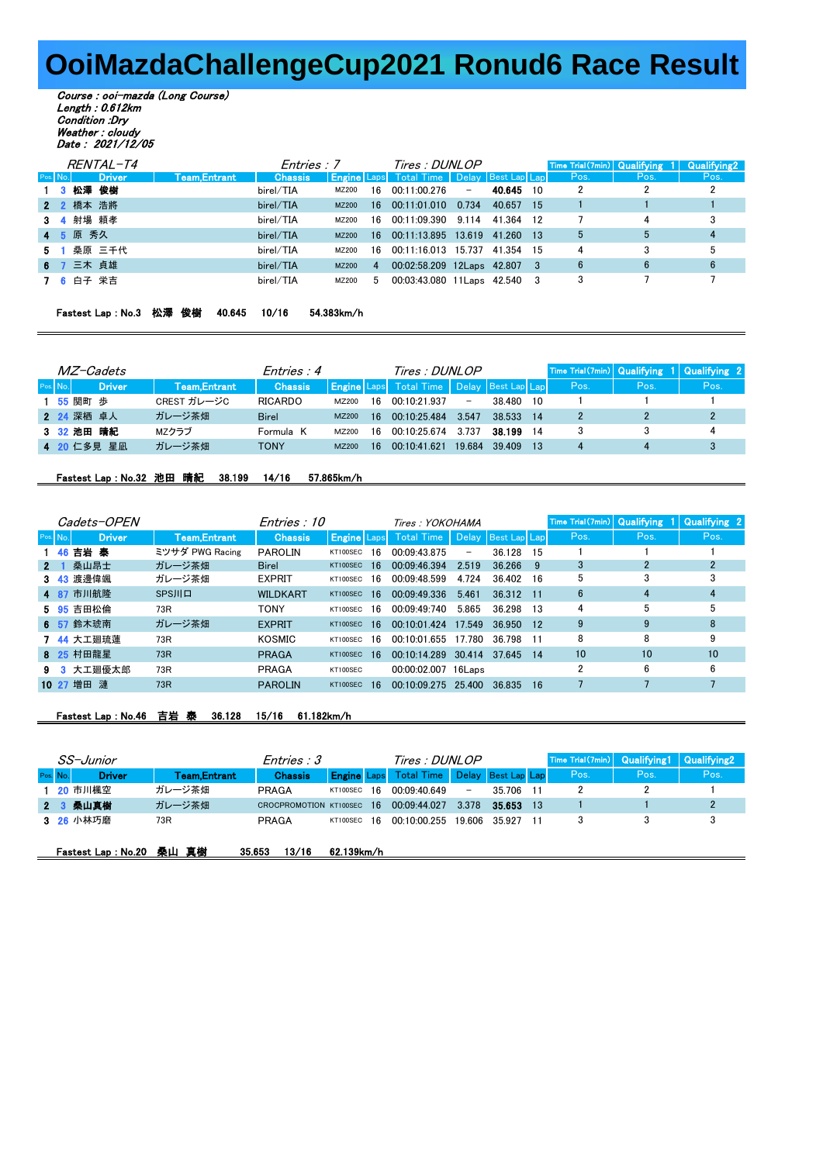## **OoiMazdaChallengeCup2021 Ronud6 Race Result**

Course : ooi-mazda (Long Course) Length : 0.612km Condition :Dry Weather : cloudy Date : 2021/12/05

|          |           | <i>RENTAL-T4</i> |              | Entries : 7    |              |             | Tires : DUNLOP                                       |        |           |      | Time Trial(7min) Qualifying 1 | <b>Qualifying2</b> |
|----------|-----------|------------------|--------------|----------------|--------------|-------------|------------------------------------------------------|--------|-----------|------|-------------------------------|--------------------|
| Pos. No. |           | <b>Driver</b>    | Team.Entrant | <b>Chassis</b> |              |             | <b>Engine</b> Laps Total Time   Delay   Best Lap Lap |        |           | Pos. | Pos.                          | Pos.               |
|          | 1 3 松澤 俊樹 |                  |              | birel/TIA      | MZ200        | 16          | 00:11:00.276                                         | $\sim$ | 40.645 10 | 2    |                               | $\overline{2}$     |
|          | 2 2 橋本 浩將 |                  |              | birel/TIA      | <b>MZ200</b> | 16 <b>D</b> | 00:11:01.010                                         | 0.734  | 40.657 15 |      |                               |                    |
|          | 3 4 射場 頼孝 |                  |              | birel/TIA      | MZ200        | 16          | 00:11:09.390 9.114                                   |        | 41364 12  |      | 4                             | 3                  |
|          | 4 5 原 秀久  |                  |              | birel/TIA      | <b>MZ200</b> | 16.         | 00:11:13.895 13.619 41.260 13                        |        |           | 5    | 5                             |                    |
|          |           | 5 1 桑原 三千代       |              | birel/TIA      | MZ200        | 16.         | 00:11:16.013 15.737                                  |        | 41.354 15 | 4    | 3                             | 5                  |
|          | 6 7 三木 貞雄 |                  |              | birel/TIA      | MZ200        | 4           | 00:02:58.209 12Laps 42.807 3                         |        |           | 6    | 6                             | 6                  |
|          | 7 6 白子 栄吉 |                  |              | birel/TIA      | MZ200        | .5          | 00:03:43.080 11 Laps 42.540 3                        |        |           | 3    |                               |                    |
|          |           |                  |              |                |              |             |                                                      |        |           |      |                               |                    |

| Fastest Lap : No.3 松澤 俊樹  40.645  10/16 |  |  |  |  | 54.383km/h |  |
|-----------------------------------------|--|--|--|--|------------|--|
|-----------------------------------------|--|--|--|--|------------|--|

| <i>MZ-Cadets</i>      |               |               | Entries : 4    |       |     | Tires : DUNLOP                                   |                          |        |      |      | Time Trial(7min) Qualifying 1 Qualifying 2 |      |
|-----------------------|---------------|---------------|----------------|-------|-----|--------------------------------------------------|--------------------------|--------|------|------|--------------------------------------------|------|
| Pos. No. <sup>1</sup> | <b>Driver</b> | Team, Entrant | <b>Chassis</b> |       |     | <b>Engine</b> Laps Total Time Delay Best Lap Lap |                          |        |      | Pos. | Pos.                                       | Pos. |
| 1 55 関町 歩             |               | CREST ガレージC   | <b>RICARDO</b> | MZ200 | 16. | 00:10:21 937                                     | $\overline{\phantom{0}}$ | 38 480 | - 10 |      |                                            |      |
| 2 24 深栖 卓人            |               | ガレージ茶畑        | <b>Birel</b>   | MZ200 | 16  | 00.10.25484                                      | 3.547                    | 38 533 | - 14 |      |                                            |      |
| 3 32 池田 晴紀            |               | MZクラブ         | Formula K      | MZ200 | 16  | 00:10:25 674                                     | 3 7 3 7                  | 38.199 | -14  |      |                                            | 4    |
| 4 20 仁多見 星凪           |               | ガレージ茶畑        | <b>TONY</b>    | MZ200 | 16  | 00.10.41621                                      | 19684                    | 39 409 | -13  |      |                                            |      |

## Fastest Lap : No.32 池田 晴紀 38.199 14/16 57.865km/h

|                | <i>Cadets-OPEN</i> |                     | Entries : 10    |          |     | Tires: YOKOHAMA                                      |        |        |      | Time Trial(7min) Qualifying |      | 1 Qualifying 2 |
|----------------|--------------------|---------------------|-----------------|----------|-----|------------------------------------------------------|--------|--------|------|-----------------------------|------|----------------|
| Pos. No.       | <b>Driver</b>      | <b>Team,Entrant</b> | <b>Chassis</b>  |          |     | <b>Engine</b> Laps Total Time   Delay   Best Lap Lap |        |        |      | Pos.                        | Pos. | Pos.           |
|                | 1 46 吉岩 泰          | ミツサダ PWG Racing     | <b>PAROLIN</b>  | KT100SEC | 16  | 00.09.43.875                                         | -      | 36.128 | 15   |                             |      |                |
| 2 <sub>1</sub> | 桑山昂士               | ガレージ茶畑              | <b>Birel</b>    | KT100SEC | 16  | 00:09:46.394                                         | 2.519  | 36.266 | -9   | 3                           | 2    |                |
|                | 3 43 渡邊偉颯          | ガレージ茶畑              | <b>EXPRIT</b>   | KT100SEC | 16  | 00:09:48.599                                         | 4.724  | 36.402 | - 16 | 5                           | 3    |                |
|                | 4 87 市川航降          | <b>SPSJIL</b>       | <b>WILDKART</b> | KT100SEC | -16 | 00:09:49.336                                         | 5.461  | 36.312 | - 11 | 6                           | 4    |                |
|                | 5 95 吉田松倫          | 73R                 | <b>TONY</b>     | KT100SEC | 16. | 00:09:49:740                                         | 5.865  | 36.298 | -13  | 4                           | 5    | 5              |
|                | 6 57 鈴木琥南          | ガレージ茶畑              | <b>EXPRIT</b>   | KT100SEC | -16 | 00:10:01.424                                         | 17.549 | 36.950 | 12   | 9                           | 9    | 8              |
|                | 7 44 大工廻琉蓮         | 73R                 | KOSMIC          | KT100SEC | 16. | 00:10:01 655                                         | 17 780 | 36 798 | -11  | 8                           | 8    | 9              |
|                | 8 25 村田龍星          | 73R                 | <b>PRAGA</b>    | KT100SEC | -16 | 00:10:14.289                                         | 30.414 | 37 645 | -14  | 10                          | 10   | 10             |
|                | 9 3 大工廻優太郎         | 73R                 | PRAGA           | KT100SEC |     | 00:00:02.007 16Laps                                  |        |        |      |                             | 6    | 6              |
| 10 27 増田 漣     |                    | 73R                 | <b>PAROLIN</b>  | KT100SEC | 16  | 00.10.09275                                          | 25 400 | 36 835 | 16   |                             |      |                |

## Fastest Lap : No.46 吉岩 泰 36.128 15/16 61.182km/h

| SS-Junior |  |                          |               | Entries : 3               |             |  | Tires : DUNLOP                |                          |                    |  | Time Trial(7min) Qualifying1 |      | Qualifying 2 |
|-----------|--|--------------------------|---------------|---------------------------|-------------|--|-------------------------------|--------------------------|--------------------|--|------------------------------|------|--------------|
| Pos. No.  |  | <b>Driver</b>            | Team, Entrant | <b>Chassis</b>            |             |  | <b>Engine Laps</b> Total Time |                          | Delay Best Lap Lap |  | Pos.                         | Pos. | Pos.         |
|           |  | 1 20 市川楓空                | ガレージ茶畑        | PRAGA                     | KT100SEC 16 |  | 00:09:40.649                  | $\overline{\phantom{a}}$ | 35.706             |  | 2                            |      |              |
|           |  | 2 3 桑山真樹                 | ガレージ茶畑        | CROCPROMOTION KT100SEC 16 |             |  | 00:09:44.027                  | 3.378                    | 35.653 13          |  |                              |      | 2            |
|           |  | 3 26 小林巧磨                | 73R           | PRAGA                     | KT100SEC 16 |  | 00:10:00 255                  | 19.606                   | 35 927             |  | 3                            |      |              |
|           |  | Fastest Lap: No.20 桑山 真樹 |               | 13/16<br>35.653           | 62.139km/h  |  |                               |                          |                    |  |                              |      |              |